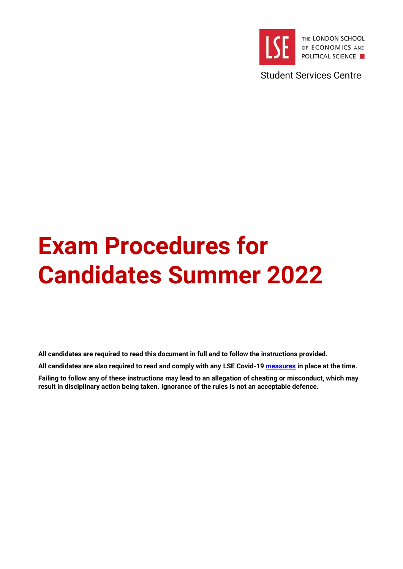

Student Services Centre

# **Exam Procedures for Candidates Summer 2022**

**All candidates are required to read this document in full and to follow the instructions provided.** 

**All candidates are also required to read and comply with any [LSE Covid-19](https://info.lse.ac.uk/coronavirus-response/assessment-faqs) measures in place at the time.** 

**Failing to follow any of these instructions may lead to an allegation of cheating or misconduct, which may result in disciplinary action being taken. Ignorance of the rules is not an acceptable defence.**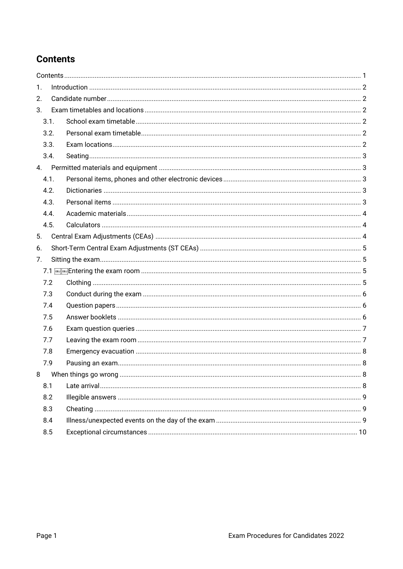# <span id="page-1-0"></span>**Contents**

| $\mathbf{1}$ . |      |   |  |
|----------------|------|---|--|
| 2.             |      |   |  |
| 3.             |      |   |  |
|                | 3.1. |   |  |
|                | 3.2. |   |  |
|                | 3.3. |   |  |
|                | 3.4. |   |  |
|                | 4.   |   |  |
|                | 4.1. |   |  |
|                | 4.2. |   |  |
|                | 4.3. |   |  |
|                | 4.4. |   |  |
|                | 4.5. |   |  |
| 5.             |      |   |  |
| 6.             |      |   |  |
| 7.             |      |   |  |
|                |      |   |  |
|                | 7.2  |   |  |
|                | 7.3  |   |  |
|                | 7.4  |   |  |
|                | 7.5  |   |  |
|                | 7.6  |   |  |
|                | 7.7  |   |  |
|                | 7.8  |   |  |
|                | 7.9  |   |  |
|                |      | 8 |  |
|                | 8.1  |   |  |
|                | 8.2  |   |  |
|                | 8.3  |   |  |
|                | 8.4  |   |  |
|                | 8.5  |   |  |
|                |      |   |  |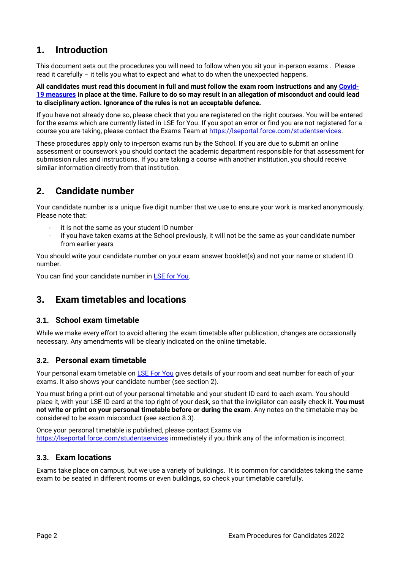# <span id="page-2-0"></span>**1. Introduction**

This document sets out the procedures you will need to follow when you sit your in-person exams . Please read it carefully – it tells you what to expect and what to do when the unexpected happens.

**All candidates must read this document in full and must follow the exam room instructions and an[y Covid-](https://info.lse.ac.uk/coronavirus-response/assessment-faqs)19 [measures](https://info.lse.ac.uk/coronavirus-response/assessment-faqs) in place at the time. Failure to do so may result in an allegation of misconduct and could lead to disciplinary action. Ignorance of the rules is not an acceptable defence.**

If you have not already done so, please check that you are registered on the right courses. You will be entered for the exams which are currently listed in [LSE for You.](https://auth.lse.ac.uk/auth/login) If you spot an error or find you are not registered for a course you are taking, please contact the Exams Team at [https://lseportal.force.com/studentservices.](https://lseportal.force.com/studentservices)

These procedures apply only to in-person exams run by the School. If you are due to submit an online assessment or coursework you should contact the academic department responsible for that assessment for submission rules and instructions. If you are taking a course with another institution, you should receive similar information directly from that institution.

# <span id="page-2-1"></span>**2. Candidate number**

Your candidate number is a unique five digit number that we use to ensure your work is marked anonymously. Please note that:

- it is not the same as your student ID number
- if you have taken exams at the School previously, it will not be the same as your candidate number from earlier years

You should write your candidate number on your exam answer booklet(s) and not your name or student ID number.

You can find your candidate number in [LSE for You.](https://lfy.lse.ac.uk/)

# <span id="page-2-2"></span>**3. Exam timetables and locations**

#### <span id="page-2-3"></span>**3.1. School exam timetable**

While we make every effort to avoid altering the exam timetable after publication, changes are occasionally necessary. Any amendments will be clearly indicated on the online timetable.

## <span id="page-2-4"></span>**3.2. Personal exam timetable**

Your personal exam timetable on [LSE For You](https://lfy.lse.ac.uk/) gives details of your room and seat number for each of your exams. It also shows your candidate number (see section 2).

You must bring a print-out of your personal timetable and your student ID card to each exam. You should place it, with your LSE ID card at the top right of your desk, so that the invigilator can easily check it. **You must not write or print on your personal timetable before or during the exam**. Any notes on the timetable may be considered to be exam misconduct (see section 8.3).

Once your personal timetable is published, please contact Exams via <https://lseportal.force.com/studentservices> immediately if you think any of the information is incorrect.

## <span id="page-2-5"></span>**3.3. Exam locations**

Exams take place on campus, but we use a variety of buildings. It is common for candidates taking the same exam to be seated in different rooms or even buildings, so check your timetable carefully.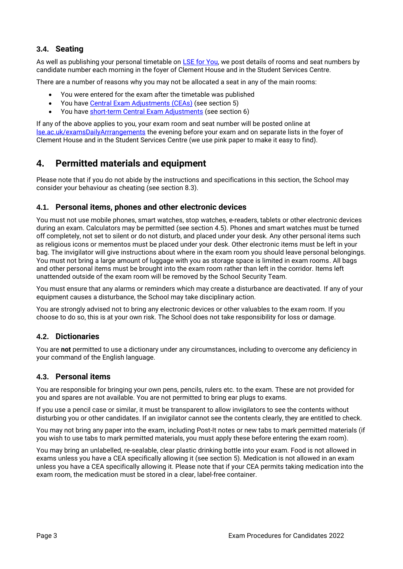# <span id="page-3-0"></span>**3.4. Seating**

As well as publishing your personal timetable on [LSE for You,](https://auth.lse.ac.uk/auth/login) we post details of rooms and seat numbers by candidate number each morning in the foyer of Clement House and in the Student Services Centre.

There are a number of reasons why you may not be allocated a seat in any of the main rooms:

- You were entered for the exam after the timetable was published
- You have Central [Exam Adjustments](https://info.lse.ac.uk/current-students/services/assessment-and-results/exams/individual-exam-adjustments) (CEAs) (see section 5)
- You have [short-term Central](https://info.lse.ac.uk/current-students/services/assessment-and-results/exams/individual-exam-adjustments) Exam Adjustments (see section 6)

If any of the above applies to you, your exam room and seat number will be posted online at [lse.ac.uk/examsDailyArrrangements](https://info.lse.ac.uk/current-students/services/assessment-and-results/exams/individual-exam-adjustments-and-late-entries) the evening before your exam and on separate lists in the foyer of Clement House and in the Student Services Centre (we use pink paper to make it easy to find).

# <span id="page-3-1"></span>**4. Permitted materials and equipment**

Please note that if you do not abide by the instructions and specifications in this section, the School may consider your behaviour as cheating (see section 8.3).

## <span id="page-3-2"></span>**4.1. Personal items, phones and other electronic devices**

You must not use mobile phones, smart watches, stop watches, e-readers, tablets or other electronic devices during an exam. Calculators may be permitted (see section 4.5). Phones and smart watches must be turned off completely, not set to silent or do not disturb, and placed under your desk. Any other personal items such as religious icons or mementos must be placed under your desk. Other electronic items must be left in your bag. The invigilator will give instructions about where in the exam room you should leave personal belongings. You must not bring a large amount of luggage with you as storage space is limited in exam rooms. All bags and other personal items must be brought into the exam room rather than left in the corridor. Items left unattended outside of the exam room will be removed by the School Security Team.

You must ensure that any alarms or reminders which may create a disturbance are deactivated. If any of your equipment causes a disturbance, the School may take disciplinary action.

You are strongly advised not to bring any electronic devices or other valuables to the exam room. If you choose to do so, this is at your own risk. The School does not take responsibility for loss or damage.

## <span id="page-3-3"></span>**4.2. Dictionaries**

You are **not** permitted to use a dictionary under any circumstances, including to overcome any deficiency in your command of the English language.

## <span id="page-3-4"></span>**4.3. Personal items**

You are responsible for bringing your own pens, pencils, rulers etc. to the exam. These are not provided for you and spares are not available. You are not permitted to bring ear plugs to exams.

If you use a pencil case or similar, it must be transparent to allow invigilators to see the contents without disturbing you or other candidates. If an invigilator cannot see the contents clearly, they are entitled to check.

You may not bring any paper into the exam, including Post-It notes or new tabs to mark permitted materials (if you wish to use tabs to mark permitted materials, you must apply these before entering the exam room).

You may bring an unlabelled, re-sealable, clear plastic drinking bottle into your exam. Food is not allowed in exams unless you have a CEA specifically allowing it (see section 5). Medication is not allowed in an exam unless you have a CEA specifically allowing it. Please note that if your CEA permits taking medication into the exam room, the medication must be stored in a clear, label-free container.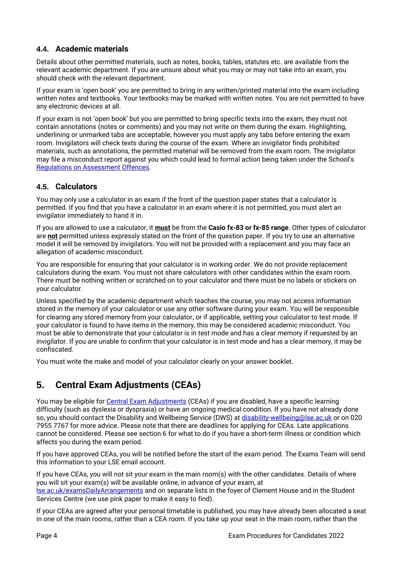# <span id="page-4-0"></span>**4.4. Academic materials**

Details about other permitted materials, such as notes, books, tables, statutes etc. are available from the relevant academic department. If you are unsure about what you may or may not take into an exam, you should check with the relevant department.

If your exam is 'open book' you are permitted to bring in any written/printed material into the exam including written notes and textbooks. Your textbooks may be marked with written notes. You are not permitted to have any electronic devices at all.

If your exam is not 'open book' but you are permitted to bring specific texts into the exam, they must not contain annotations (notes or comments) and you may not write on them during the exam. Highlighting, underlining or unmarked tabs are acceptable; however you must apply any tabs before entering the exam room. Invigilators will check texts during the course of the exam. Where an invigilator finds prohibited materials, such as annotations, the permitted material will be removed from the exam room. The invigilator may file a misconduct report against you which could lead to formal action being taken under the School's [Regulations on Assessment Offences.](https://info.lse.ac.uk/Staff/Divisions/Academic-Registrars-Division/Teaching-Quality-Assurance-and-Review-Office/Assets/Documents/Calendar/RegulationsAssessmentOffences.pdf)

# <span id="page-4-1"></span>**4.5. Calculators**

You may only use a calculator in an exam if the front of the question paper states that a calculator is permitted. If you find that you have a calculator in an exam where it is not permitted, you must alert an invigilator immediately to hand it in.

If you are allowed to use a calculator, it **must** be from the **Casio fx-83 or fx-85 range**. Other types of calculator are **not** permitted unless expressly stated on the front of the question paper. If you try to use an alternative model it will be removed by invigilators. You will not be provided with a replacement and you may face an allegation of academic misconduct.

You are responsible for ensuring that your calculator is in working order. We do not provide replacement calculators during the exam. You must not share calculators with other candidates within the exam room. There must be nothing written or scratched on to your calculator and there must be no labels or stickers on your calculator.

Unless specified by the academic department which teaches the course, you may not access information stored in the memory of your calculator or use any other software during your exam. You will be responsible for clearing any stored memory from your calculator, or if applicable, setting your calculator to test mode. If your calculator is found to have items in the memory, this may be considered academic misconduct. You must be able to demonstrate that your calculator is in test mode and has a clear memory if requested by an invigilator. If you are unable to confirm that your calculator is in test mode and has a clear memory, it may be confiscated.

You must write the make and model of your calculator clearly on your answer booklet.

# <span id="page-4-2"></span>**5. Central Exam Adjustments (CEAs)**

You may be eligible for Central [Exam Adjustments](https://info.lse.ac.uk/current-students/services/assessment-and-results/exams/individual-exam-adjustments) (CEAs) if you are disabled, have a specific learning difficulty (such as dyslexia or dyspraxia) or have an ongoing medical condition. If you have not already done so, you should contact the Disability and Wellbeing Service (DWS) at [disability-wellbeing@lse.ac.uk](mailto:disability-wellbeing@lse.ac.uk) or on 020 7955 7767 for more advice. Please note that there are deadlines for applying for CEAs. Late applications cannot be considered. Please see section 6 for what to do if you have a short-term illness or condition which affects you during the exam period.

If you have approved CEAs, you will be notified before the start of the exam period. The Exams Team will send this information to your LSE email account.

If you have CEAs, you will not sit your exam in the main room(s) with the other candidates. Details of where you will sit your exam(s) will be available online, in advance of your exam, at [lse.ac.uk/examsDailyArrangements](https://info.lse.ac.uk/current-students/services/assessment-and-results/exams/individual-exam-adjustments-and-late-entries) and on separate lists in the foyer of Clement House and in the Student Services Centre (we use pink paper to make it easy to find).

If your CEAs are agreed after your personal timetable is published, you may have already been allocated a seat in one of the main rooms, rather than a CEA room. If you take up your seat in the main room, rather than the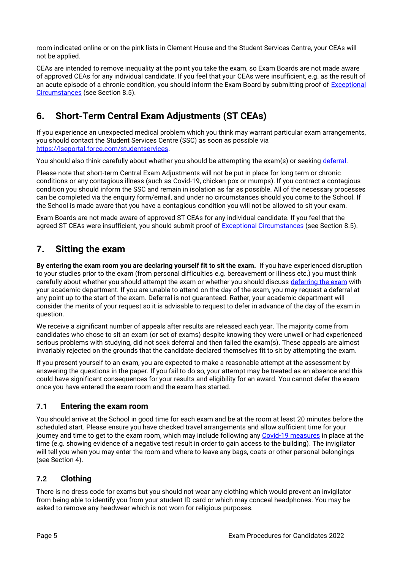room indicated online or on the pink lists in Clement House and the Student Services Centre, your CEAs will not be applied.

CEAs are intended to remove inequality at the point you take the exam, so Exam Boards are not made aware of approved CEAs for any individual candidate. If you feel that your CEAs were insufficient, e.g. as the result of an acute episode of a chronic condition, you should inform the Exam Board by submitting proof of **Exceptional** [Circumstances](https://info.lse.ac.uk/current-students/services/assessment-and-results/exceptional-circumstances/exceptional-circumstances) (see Section 8.5).

# <span id="page-5-0"></span>**6. Short-Term Central Exam Adjustments (ST CEAs)**

If you experience an unexpected medical problem which you think may warrant particular exam arrangements, you should contact the Student Services Centre (SSC) as soon as possible via [https://lseportal.force.com/studentservices.](https://lseportal.force.com/studentservices)

You should also think carefully about whether you should be attempting the exam(s) or seeking [deferral.](https://info.lse.ac.uk/current-students/services/assessment-and-results/exceptional-circumstances/deferral)

Please note that short-term Central Exam Adjustments will not be put in place for long term or chronic conditions or any contagious illness (such as Covid-19, chicken pox or mumps). If you contract a contagious condition you should inform the SSC and remain in isolation as far as possible. All of the necessary processes can be completed via the enquiry form/email, and under no circumstances should you come to the School. If the School is made aware that you have a contagious condition you will not be allowed to sit your exam.

Exam Boards are not made aware of approved ST CEAs for any individual candidate. If you feel that the agreed ST CEAs were insufficient, you should submit proof of [Exceptional Circumstances](https://info.lse.ac.uk/current-students/services/assessment-and-results/exceptional-circumstances/exceptional-circumstances) (see Section 8.5).

# <span id="page-5-1"></span>**7. Sitting the exam**

**By entering the exam room you are declaring yourself fit to sit the exam.** If you have experienced disruption to your studies prior to the exam (from personal difficulties e.g. bereavement or illness etc.) you must think carefully about whether you should attempt the exam or whether you should discuss [deferring the exam](https://info.lse.ac.uk/current-students/services/assessment-and-results/exceptional-circumstances/deferral) with your academic department. If you are unable to attend on the day of the exam, you may request a deferral at any point up to the start of the exam. Deferral is not guaranteed. Rather, your academic department will consider the merits of your request so it is advisable to request to defer in advance of the day of the exam in question.

We receive a significant number of appeals after results are released each year. The majority come from candidates who chose to sit an exam (or set of exams) despite knowing they were unwell or had experienced serious problems with studying, did not seek deferral and then failed the exam(s). These appeals are almost invariably rejected on the grounds that the candidate declared themselves fit to sit by attempting the exam.

If you present yourself to an exam, you are expected to make a reasonable attempt at the assessment by answering the questions in the paper. If you fail to do so, your attempt may be treated as an absence and this could have significant consequences for your results and eligibility for an award. You cannot defer the exam once you have entered the exam room and the exam has started.

## <span id="page-5-2"></span>**7.1 Entering the exam room**

You should arrive at the School in good time for each exam and be at the room at least 20 minutes before the scheduled start. Please ensure you have checked travel arrangements and allow sufficient time for your journey and time to get to the exam room, which may include following any Covid-19 [measures](https://info.lse.ac.uk/coronavirus-response/assessment-faqs) in place at the time (e.g. showing evidence of a negative test result in order to gain access to the building). The invigilator will tell you when you may enter the room and where to leave any bags, coats or other personal belongings (see Section 4).

# <span id="page-5-3"></span>**7.2 Clothing**

There is no dress code for exams but you should not wear any clothing which would prevent an invigilator from being able to identify you from your student ID card or which may conceal headphones. You may be asked to remove any headwear which is not worn for religious purposes.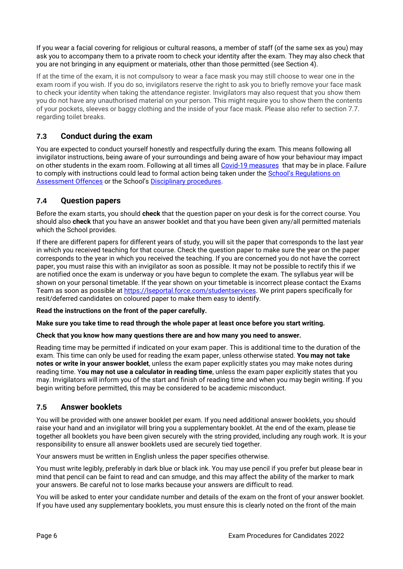If you wear a facial covering for religious or cultural reasons, a member of staff (of the same sex as you) may ask you to accompany them to a private room to check your identity after the exam. They may also check that you are not bringing in any equipment or materials, other than those permitted (see Section 4).

If at the time of the exam, it is not compulsory to wear a face mask you may still choose to wear one in the exam room if you wish. If you do so, invigilators reserve the right to ask you to briefly remove your face mask to check your identity when taking the attendance register. Invigilators may also request that you show them you do not have any unauthorised material on your person. This might require you to show them the contents of your pockets, sleeves or baggy clothing and the inside of your face mask. Please also refer to section 7.7. regarding toilet breaks.

# <span id="page-6-0"></span>**7.3 Conduct during the exam**

You are expected to conduct yourself honestly and respectfully during the exam. This means following all invigilator instructions, being aware of your surroundings and being aware of how your behaviour may impact on other students in the exam room. Following at all times all Covid-19 [measures](https://info.lse.ac.uk/coronavirus-response/assessment-faqs) that may be in place. Failure to comply with instructions could lead to formal action being taken under the School's Regulations on [Assessment Offences](https://info.lse.ac.uk/Staff/Divisions/Academic-Registrars-Division/Teaching-Quality-Assurance-and-Review-Office/Assets/Documents/Calendar/RegulationsAssessmentOffences.pdf) or the School's [Disciplinary procedures.](https://info.lse.ac.uk/coronavirus-response/assets/Docs/Staff-resources-centre/Student-Advice-Note-reporting-behaviours-and-penalties.pdf)

## <span id="page-6-1"></span>**7.4 Question papers**

Before the exam starts, you should **check** that the question paper on your desk is for the correct course. You should also **check** that you have an answer booklet and that you have been given any/all permitted materials which the School provides.

If there are different papers for different years of study, you will sit the paper that corresponds to the last year in which you received teaching for that course. Check the question paper to make sure the year on the paper corresponds to the year in which you received the teaching. If you are concerned you do not have the correct paper, you must raise this with an invigilator as soon as possible. It may not be possible to rectify this if we are notified once the exam is underway or you have begun to complete the exam. The syllabus year will be shown on your personal timetable. If the year shown on your timetable is incorrect please contact the Exams Team as soon as possible a[t https://lseportal.force.com/studentservices.](https://lseportal.force.com/studentservices) We print papers specifically for resit/deferred candidates on coloured paper to make them easy to identify.

#### **Read the instructions on the front of the paper carefully.**

#### **Make sure you take time to read through the whole paper at least once before you start writing.**

#### **Check that you know how many questions there are and how many you need to answer.**

Reading time may be permitted if indicated on your exam paper. This is additional time to the duration of the exam. This time can only be used for reading the exam paper, unless otherwise stated. **You may not take notes or write in your answer booklet**, unless the exam paper explicitly states you may make notes during reading time. Y**ou may not use a calculator in reading time**, unless the exam paper explicitly states that you may. Invigilators will inform you of the start and finish of reading time and when you may begin writing. If you begin writing before permitted, this may be considered to be academic misconduct.

#### <span id="page-6-2"></span>**7.5 Answer booklets**

You will be provided with one answer booklet per exam. If you need additional answer booklets, you should raise your hand and an invigilator will bring you a supplementary booklet. At the end of the exam, please tie together all booklets you have been given securely with the string provided, including any rough work. It is your responsibility to ensure all answer booklets used are securely tied together.

Your answers must be written in English unless the paper specifies otherwise.

You must write legibly, preferably in dark blue or black ink. You may use pencil if you prefer but please bear in mind that pencil can be faint to read and can smudge, and this may affect the ability of the marker to mark your answers. Be careful not to lose marks because your answers are difficult to read.

You will be asked to enter your candidate number and details of the exam on the front of your answer booklet. If you have used any supplementary booklets, you must ensure this is clearly noted on the front of the main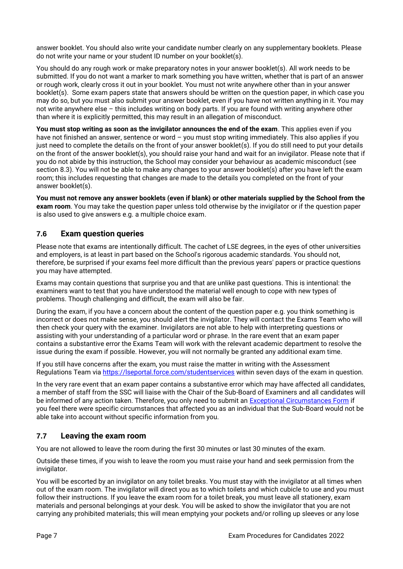answer booklet. You should also write your candidate number clearly on any supplementary booklets. Please do not write your name or your student ID number on your booklet(s).

You should do any rough work or make preparatory notes in your answer booklet(s). All work needs to be submitted. If you do not want a marker to mark something you have written, whether that is part of an answer or rough work, clearly cross it out in your booklet. You must not write anywhere other than in your answer booklet(s). Some exam papers state that answers should be written on the question paper, in which case you may do so, but you must also submit your answer booklet, even if you have not written anything in it. You may not write anywhere else – this includes writing on body parts. If you are found with writing anywhere other than where it is explicitly permitted, this may result in an allegation of misconduct.

**You must stop writing as soon as the invigilator announces the end of the exam**. This applies even if you have not finished an answer, sentence or word – you must stop writing immediately. This also applies if you just need to complete the details on the front of your answer booklet(s). If you do still need to put your details on the front of the answer booklet(s), you should raise your hand and wait for an invigilator. Please note that if you do not abide by this instruction, the School may consider your behaviour as academic misconduct (see section 8.3). You will not be able to make any changes to your answer booklet(s) after you have left the exam room; this includes requesting that changes are made to the details you completed on the front of your answer booklet(s).

**You must not remove any answer booklets (even if blank) or other materials supplied by the School from the exam room**. You may take the question paper unless told otherwise by the invigilator or if the question paper is also used to give answers e.g. a multiple choice exam.

# <span id="page-7-0"></span>**7.6 Exam question queries**

Please note that exams are intentionally difficult. The cachet of LSE degrees, in the eyes of other universities and employers, is at least in part based on the School's rigorous academic standards. You should not, therefore, be surprised if your exams feel more difficult than the previous years' papers or practice questions you may have attempted.

Exams may contain questions that surprise you and that are unlike past questions. This is intentional: the examiners want to test that you have understood the material well enough to cope with new types of problems. Though challenging and difficult, the exam will also be fair.

During the exam, if you have a concern about the content of the question paper e.g. you think something is incorrect or does not make sense, you should alert the invigilator. They will contact the Exams Team who will then check your query with the examiner. Invigilators are not able to help with interpreting questions or assisting with your understanding of a particular word or phrase. In the rare event that an exam paper contains a substantive error the Exams Team will work with the relevant academic department to resolve the issue during the exam if possible. However, you will not normally be granted any additional exam time.

If you still have concerns after the exam, you must raise the matter in writing with the Assessment Regulations Team via<https://lseportal.force.com/studentservices> within seven days of the exam in question.

In the very rare event that an exam paper contains a substantive error which may have affected all candidates, a member of staff from the SSC will liaise with the Chair of the Sub-Board of Examiners and all candidates will be informed of any action taken. Therefore, you only need to submit an [Exceptional Circumstances Form](https://info.lse.ac.uk/current-students/services/assessment-and-results/exceptional-circumstances/exceptional-circumstances) if you feel there were specific circumstances that affected you as an individual that the Sub-Board would not be able take into account without specific information from you.

## <span id="page-7-1"></span>**7.7 Leaving the exam room**

You are not allowed to leave the room during the first 30 minutes or last 30 minutes of the exam.

Outside these times, if you wish to leave the room you must raise your hand and seek permission from the invigilator.

You will be escorted by an invigilator on any toilet breaks. You must stay with the invigilator at all times when out of the exam room. The invigilator will direct you as to which toilets and which cubicle to use and you must follow their instructions. If you leave the exam room for a toilet break, you must leave all stationery, exam materials and personal belongings at your desk. You will be asked to show the invigilator that you are not carrying any prohibited materials; this will mean emptying your pockets and/or rolling up sleeves or any lose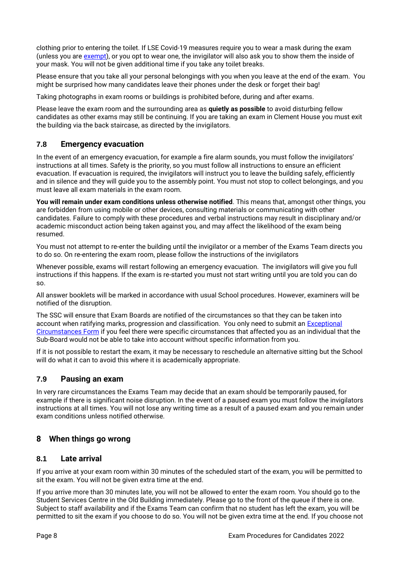clothing prior to entering the toilet. If LSE Covid-19 measures require you to wear a mask during the exam (unless you are [exempt\)](https://info.lse.ac.uk/coronavirus-response/face-covering-exemption), or you opt to wear one, the invigilator will also ask you to show them the inside of your mask. You will not be given additional time if you take any toilet breaks.

Please ensure that you take all your personal belongings with you when you leave at the end of the exam. You might be surprised how many candidates leave their phones under the desk or forget their bag!

Taking photographs in exam rooms or buildings is prohibited before, during and after exams.

Please leave the exam room and the surrounding area as **quietly as possible** to avoid disturbing fellow candidates as other exams may still be continuing. If you are taking an exam in Clement House you must exit the building via the back staircase, as directed by the invigilators.

## <span id="page-8-0"></span>**7.8 Emergency evacuation**

In the event of an emergency evacuation, for example a fire alarm sounds, you must follow the invigilators' instructions at all times. Safety is the priority, so you must follow all instructions to ensure an efficient evacuation. If evacuation is required, the invigilators will instruct you to leave the building safely, efficiently and in silence and they will guide you to the assembly point. You must not stop to collect belongings, and you must leave all exam materials in the exam room.

**You will remain under exam conditions unless otherwise notified**. This means that, amongst other things, you are forbidden from using mobile or other devices, consulting materials or communicating with other candidates. Failure to comply with these procedures and verbal instructions may result in disciplinary and/or academic misconduct action being taken against you, and may affect the likelihood of the exam being resumed.

You must not attempt to re-enter the building until the invigilator or a member of the Exams Team directs you to do so. On re-entering the exam room, please follow the instructions of the invigilators

Whenever possible, exams will restart following an emergency evacuation. The invigilators will give you full instructions if this happens. If the exam is re-started you must not start writing until you are told you can do so.

All answer booklets will be marked in accordance with usual School procedures. However, examiners will be notified of the disruption.

The SSC will ensure that Exam Boards are notified of the circumstances so that they can be taken into account when ratifying marks, progression and classification. You only need to submit an [Exceptional](https://info.lse.ac.uk/current-students/services/assessment-and-results/exceptional-circumstances/exceptional-circumstances)  [Circumstances Form](https://info.lse.ac.uk/current-students/services/assessment-and-results/exceptional-circumstances/exceptional-circumstances) if you feel there were specific circumstances that affected you as an individual that the Sub-Board would not be able to take into account without specific information from you.

If it is not possible to restart the exam, it may be necessary to reschedule an alternative sitting but the School will do what it can to avoid this where it is academically appropriate.

## <span id="page-8-1"></span>**7.9 Pausing an exam**

In very rare circumstances the Exams Team may decide that an exam should be temporarily paused, for example if there is significant noise disruption. In the event of a paused exam you must follow the invigilators instructions at all times. You will not lose any writing time as a result of a paused exam and you remain under exam conditions unless notified otherwise.

# <span id="page-8-2"></span>**8 When things go wrong**

## <span id="page-8-3"></span>**8.1 Late arrival**

If you arrive at your exam room within 30 minutes of the scheduled start of the exam, you will be permitted to sit the exam. You will not be given extra time at the end.

If you arrive more than 30 minutes late, you will not be allowed to enter the exam room. You should go to the Student Services Centre in the Old Building immediately. Please go to the front of the queue if there is one. Subject to staff availability and if the Exams Team can confirm that no student has left the exam, you will be permitted to sit the exam if you choose to do so. You will not be given extra time at the end. If you choose not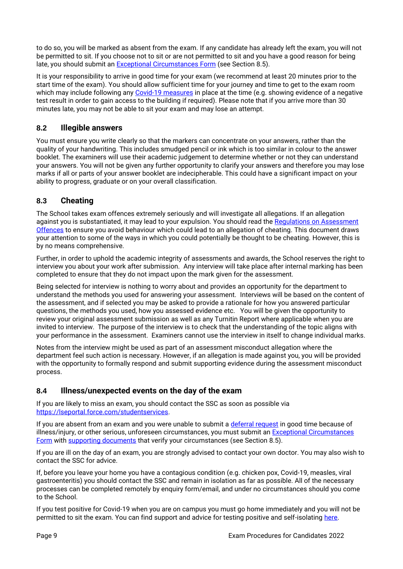to do so, you will be marked as absent from the exam. If any candidate has already left the exam, you will not be permitted to sit. If you choose not to sit or are not permitted to sit and you have a good reason for being late, you should submit an **Exceptional Circumstances Form** (see Section 8.5).

It is your responsibility to arrive in good time for your exam (we recommend at least 20 minutes prior to the start time of the exam). You should allow sufficient time for your journey and time to get to the exam room which may include following any Covid-19 [measures](https://info.lse.ac.uk/coronavirus-response/assessment-faqs) in place at the time (e.g. showing evidence of a negative test result in order to gain access to the building if required). Please note that if you arrive more than 30 minutes late, you may not be able to sit your exam and may lose an attempt.

# <span id="page-9-0"></span>**8.2 Illegible answers**

You must ensure you write clearly so that the markers can concentrate on your answers, rather than the quality of your handwriting. This includes smudged pencil or ink which is too similar in colour to the answer booklet. The examiners will use their academic judgement to determine whether or not they can understand your answers. You will not be given any further opportunity to clarify your answers and therefore you may lose marks if all or parts of your answer booklet are indecipherable. This could have a significant impact on your ability to progress, graduate or on your overall classification.

# <span id="page-9-1"></span>**8.3 Cheating**

The School takes exam offences extremely seriously and will investigate all allegations. If an allegation against you is substantiated, it may lead to your expulsion. You should read the Regulations on Assessment [Offences](https://info.lse.ac.uk/Staff/Divisions/Academic-Registrars-Division/Teaching-Quality-Assurance-and-Review-Office/Assets/Documents/Calendar/RegulationsAssessmentOffences.pdf) to ensure you avoid behaviour which could lead to an allegation of cheating. This document draws your attention to some of the ways in which you could potentially be thought to be cheating. However, this is by no means comprehensive.

Further, in order to uphold the academic integrity of assessments and awards, the School reserves the right to interview you about your work after submission. Any interview will take place after internal marking has been completed to ensure that they do not impact upon the mark given for the assessment.

Being selected for interview is nothing to worry about and provides an opportunity for the department to understand the methods you used for answering your assessment. Interviews will be based on the content of the assessment, and if selected you may be asked to provide a rationale for how you answered particular questions, the methods you used, how you assessed evidence etc. You will be given the opportunity to review your original assessment submission as well as any Turnitin Report where applicable when you are invited to interview. The purpose of the interview is to check that the understanding of the topic aligns with your performance in the assessment. Examiners cannot use the interview in itself to change individual marks.

Notes from the interview might be used as part of an assessment misconduct allegation where the department feel such action is necessary. However, if an allegation is made against you, you will be provided with the opportunity to formally respond and submit supporting evidence during the assessment misconduct process.

## <span id="page-9-2"></span>**8.4 Illness/unexpected events on the day of the exam**

If you are likely to miss an exam, you should contact the SSC as soon as possible via [https://lseportal.force.com/studentservices.](https://lseportal.force.com/studentservices)

If you are absent from an exam and you were unable to submit a [deferral request](https://info.lse.ac.uk/current-students/services/assessment-and-results/exceptional-circumstances/deferral) in good time because of illness/injury, or other serious, unforeseen circumstances, you must submit an **Exceptional Circumstances** [Form](https://info.lse.ac.uk/current-students/services/assessment-and-results/exceptional-circumstances/exceptional-circumstances) with [supporting documents](https://info.lse.ac.uk/current-students/services/assets/documents/standards-of-evidence-information.pdf) that verify your circumstances (see Section 8.5).

If you are ill on the day of an exam, you are strongly advised to contact your own doctor. You may also wish to contact the SSC for advice.

If, before you leave your home you have a contagious condition (e.g. chicken pox, Covid-19, measles, viral gastroenteritis) you should contact the SSC and remain in isolation as far as possible. All of the necessary processes can be completed remotely by enquiry form/email, and under no circumstances should you come to the School.

If you test positive for Covid-19 when you are on campus you must go home immediately and you will not be permitted to sit the exam. You can find support and advice for testing positive and self-isolating [here.](https://info.lse.ac.uk/coronavirus-response/self-isolation-support-and-advice)